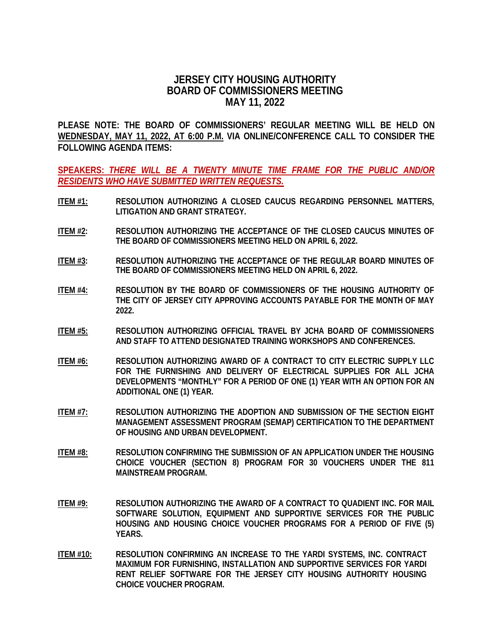## **JERSEY CITY HOUSING AUTHORITY BOARD OF COMMISSIONERS MEETING MAY 11, 2022**

**PLEASE NOTE: THE BOARD OF COMMISSIONERS' REGULAR MEETING WILL BE HELD ON WEDNESDAY, MAY 11, 2022, AT 6:00 P.M. VIA ONLINE/CONFERENCE CALL TO CONSIDER THE FOLLOWING AGENDA ITEMS:**

**SPEAKERS:** *THERE WILL BE A TWENTY MINUTE TIME FRAME FOR THE PUBLIC AND/OR RESIDENTS WHO HAVE SUBMITTED WRITTEN REQUESTS.*

- **ITEM #1: RESOLUTION AUTHORIZING A CLOSED CAUCUS REGARDING PERSONNEL MATTERS, LITIGATION AND GRANT STRATEGY.**
- **ITEM #2: RESOLUTION AUTHORIZING THE ACCEPTANCE OF THE CLOSED CAUCUS MINUTES OF THE BOARD OF COMMISSIONERS MEETING HELD ON APRIL 6, 2022.**
- **ITEM #3: RESOLUTION AUTHORIZING THE ACCEPTANCE OF THE REGULAR BOARD MINUTES OF THE BOARD OF COMMISSIONERS MEETING HELD ON APRIL 6, 2022.**
- **ITEM #4: RESOLUTION BY THE BOARD OF COMMISSIONERS OF THE HOUSING AUTHORITY OF THE CITY OF JERSEY CITY APPROVING ACCOUNTS PAYABLE FOR THE MONTH OF MAY 2022.**
- **ITEM #5: RESOLUTION AUTHORIZING OFFICIAL TRAVEL BY JCHA BOARD OF COMMISSIONERS AND STAFF TO ATTEND DESIGNATED TRAINING WORKSHOPS AND CONFERENCES.**
- **ITEM #6: RESOLUTION AUTHORIZING AWARD OF A CONTRACT TO CITY ELECTRIC SUPPLY LLC FOR THE FURNISHING AND DELIVERY OF ELECTRICAL SUPPLIES FOR ALL JCHA DEVELOPMENTS "MONTHLY" FOR A PERIOD OF ONE (1) YEAR WITH AN OPTION FOR AN ADDITIONAL ONE (1) YEAR.**
- **ITEM #7: RESOLUTION AUTHORIZING THE ADOPTION AND SUBMISSION OF THE SECTION EIGHT MANAGEMENT ASSESSMENT PROGRAM (SEMAP) CERTIFICATION TO THE DEPARTMENT OF HOUSING AND URBAN DEVELOPMENT.**
- **ITEM #8: RESOLUTION CONFIRMING THE SUBMISSION OF AN APPLICATION UNDER THE HOUSING CHOICE VOUCHER (SECTION 8) PROGRAM FOR 30 VOUCHERS UNDER THE 811 MAINSTREAM PROGRAM.**
- **ITEM #9: RESOLUTION AUTHORIZING THE AWARD OF A CONTRACT TO QUADIENT INC. FOR MAIL SOFTWARE SOLUTION, EQUIPMENT AND SUPPORTIVE SERVICES FOR THE PUBLIC HOUSING AND HOUSING CHOICE VOUCHER PROGRAMS FOR A PERIOD OF FIVE (5) YEARS.**
- **ITEM #10: RESOLUTION CONFIRMING AN INCREASE TO THE YARDI SYSTEMS, INC. CONTRACT MAXIMUM FOR FURNISHING, INSTALLATION AND SUPPORTIVE SERVICES FOR YARDI RENT RELIEF SOFTWARE FOR THE JERSEY CITY HOUSING AUTHORITY HOUSING CHOICE VOUCHER PROGRAM.**